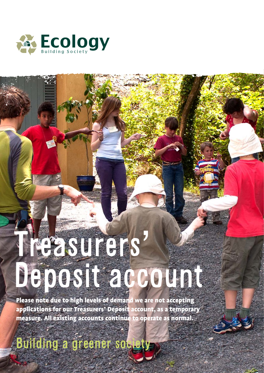

# The surers' Deposit account

Please note due to high levels of demand we are not accepting applications for our Treasurers' Deposit account, as a temporary measure. All existing accounts continue to operate as normal.

Building a greener society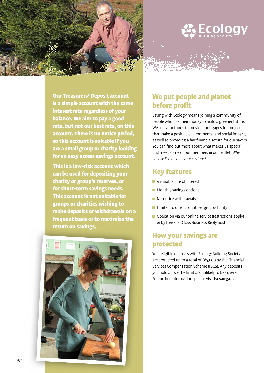



Our Treasurers' Deposit account is a simple account with the same interest rate regardless of your balance. We aim to pay a good rate, but not our best rate, on this account. There is no notice period, so this account is suitable if you are a small group or charity looking for an easy access savings account.

This is a low-risk account which can be used for depositing your charity or group's reserves, or for short-term savings needs. This account is not suitable for groups or charities wishing to make deposits or withdrawals on a frequent basis or to maximise the return on savings.



### We put people and planet before profit

Saving with Ecology means joining a community of people who use their money to build a greener future. We use your funds to provide mortgages for projects that make a positive environmental and social impact, as well as providing a fair financial return for our savers. You can find out more about what makes us special and meet some of our members in our leaflet: *Why choose Ecology for your savings?* 

### Key features

- A variable rate of interest
- **Monthly savings options**
- No-notice withdrawals
- **Limited to one account per group/charity**
- Operation via our online service (restrictions apply) or by free First Class Business Reply post

### How your savings are protected

Your eligible deposits with Ecology Building Society are protected up to a total of £85,000 by the Financial Services Compensation Scheme (FSCS). Any deposits you hold above the limit are unlikely to be covered. For further information, please visit **fscs.org.uk**.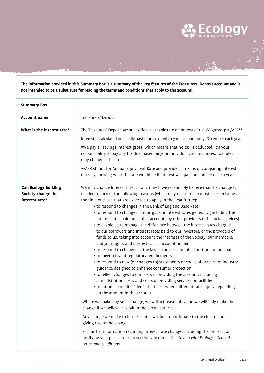**The information provided in this Summary Box is a summary of the key features of the Treasurers' Deposit account and is not intended to be a substitute for reading the terms and conditions that apply to the account.**

| <b>Summary Box</b>                                                  |                                                                                                                                                                                                                                                                                                                                                                                                                                                                                                                                                                                                                                                                                                                                                                                                                                                                                                                                                                                                                                                                                                                                                                                                                                                                                                                                                                                                                                                                                                                                                                                                                                                                                                                                                                                                         |
|---------------------------------------------------------------------|---------------------------------------------------------------------------------------------------------------------------------------------------------------------------------------------------------------------------------------------------------------------------------------------------------------------------------------------------------------------------------------------------------------------------------------------------------------------------------------------------------------------------------------------------------------------------------------------------------------------------------------------------------------------------------------------------------------------------------------------------------------------------------------------------------------------------------------------------------------------------------------------------------------------------------------------------------------------------------------------------------------------------------------------------------------------------------------------------------------------------------------------------------------------------------------------------------------------------------------------------------------------------------------------------------------------------------------------------------------------------------------------------------------------------------------------------------------------------------------------------------------------------------------------------------------------------------------------------------------------------------------------------------------------------------------------------------------------------------------------------------------------------------------------------------|
| <b>Account name</b>                                                 | Treasurers' Deposit                                                                                                                                                                                                                                                                                                                                                                                                                                                                                                                                                                                                                                                                                                                                                                                                                                                                                                                                                                                                                                                                                                                                                                                                                                                                                                                                                                                                                                                                                                                                                                                                                                                                                                                                                                                     |
| What is the interest rate?                                          | The Treasurers' Deposit account offers a variable rate of interest of 0.60% gross* p.a./AER**<br>Interest is calculated on a daily basis and credited to your account on 31 December each year.<br>*We pay all savings interest gross, which means that no tax is deducted. It's your<br>responsibility to pay any tax due, based on your individual circumstances. Tax rules<br>may change in future.<br>** AER stands for Annual Equivalent Rate and provides a means of comparing interest<br>rates by showing what the rate would be if interest was paid and added once a year.                                                                                                                                                                                                                                                                                                                                                                                                                                                                                                                                                                                                                                                                                                                                                                                                                                                                                                                                                                                                                                                                                                                                                                                                                    |
| <b>Can Ecology Building</b><br>Society change the<br>interest rate? | We may change interest rates at any time if we reasonably believe that the change is<br>needed for any of the following reasons (which may relate to circumstances existing at<br>the time or those that are expected to apply in the near future):<br>• to respond to changes in the Bank of England Base Rate<br>• to respond to changes in mortgage or interest rates generally (including the<br>interest rates paid on similar accounts by other providers of financial services)<br>• to enable us to manage the difference between the interest rates charged<br>to our borrowers and interest rates paid to our investors, or the providers of<br>funds to us, taking into account the interests of the Society, our members,<br>and your rights and interests as an account holder<br>• to respond to changes in the law or the decision of a court or ombudsman<br>• to meet relevant regulatory requirements<br>• to respond to new (or changes to) statements or codes of practice or industry<br>guidance designed to enhance consumer protection<br>• to reflect changes to our costs in providing the account, including<br>administration costs and costs of providing services or facilities<br>• to introduce or alter 'tiers' of interest where different rates apply depending<br>on the amount in the account.<br>Where we make any such change, we will act reasonably and we will only make the<br>change if we believe it is fair in the circumstances.<br>Any change we make to interest rates will be proportionate to the circumstances<br>giving rise to the change.<br>For further information regarding interest rate changes including the process for<br>notifying you, please refer to section 7 in our leaflet Saving with Ecology - General<br>terms and conditions. |

**ECOI** 

ogy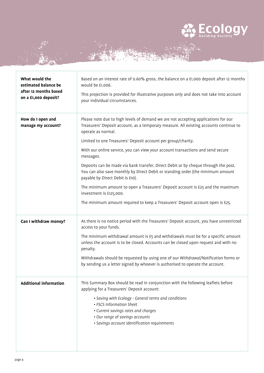

| What would the<br>estimated balance be<br>after 12 months based<br>on a £1,000 deposit? | Based on an interest rate of 0.60% gross, the balance on a £1,000 deposit after 12 months<br>would be £1,006.<br>This projection is provided for illustrative purposes only and does not take into account<br>your individual circumstances.                                                                                                                                                                                                                                                                                                                                                                                                                                                                                                                                      |
|-----------------------------------------------------------------------------------------|-----------------------------------------------------------------------------------------------------------------------------------------------------------------------------------------------------------------------------------------------------------------------------------------------------------------------------------------------------------------------------------------------------------------------------------------------------------------------------------------------------------------------------------------------------------------------------------------------------------------------------------------------------------------------------------------------------------------------------------------------------------------------------------|
| How do I open and<br>manage my account?                                                 | Please note due to high levels of demand we are not accepting applications for our<br>Treasurers' Deposit account, as a temporary measure. All existing accounts continue to<br>operate as normal.<br>Limited to one Treasurers' Deposit account per group/charity.<br>With our online service, you can view your account transactions and send secure<br>messages.<br>Deposits can be made via bank transfer, Direct Debit or by cheque through the post.<br>You can also save monthly by Direct Debit or standing order (the minimum amount<br>payable by Direct Debit is £10).<br>The minimum amount to open a Treasurers' Deposit account is £25 and the maximum<br>investment is £125,000.<br>The minimum amount required to keep a Treasurers' Deposit account open is £25. |
| Can I withdraw money?                                                                   | As there is no notice period with the Treasurers' Deposit account, you have unrestricted<br>access to your funds.<br>The minimum withdrawal amount is £5 and withdrawals must be for a specific amount<br>unless the account is to be closed. Accounts can be closed upon request and with no<br>penalty.<br>Withdrawals should be requested by using one of our Withdrawal/Notification forms or<br>by sending us a letter signed by whoever is authorised to operate the account.                                                                                                                                                                                                                                                                                               |
| <b>Additional information</b>                                                           | This Summary Box should be read in conjunction with the following leaflets before<br>applying for a Treasurers' Deposit account:<br>· Saving with Ecology - General terms and conditions<br>• FSCS Information Sheet<br>• Current savings rates and charges<br>• Our range of savings accounts<br>· Savings account identification requirements                                                                                                                                                                                                                                                                                                                                                                                                                                   |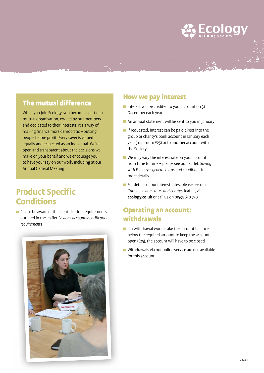## $ECO<sub>Building</sub>$

### The mutual difference

When you join Ecology, you become a part of a mutual organisation, owned by our members and dedicated to their interests. It's a way of making finance more democratic – putting people before profit. Every saver is valued equally and respected as an individual. We're open and transparent about the decisions we make on your behalf and we encourage you to have your say on our work, including at our Annual General Meeting.

### **Product Specific Conditions**

 $\blacksquare$  Please be aware of the identification requirements outlined in the leaflet *Savings account identification requirements*



#### How we pay interest

ang pang

- Interest will be credited to your account on 31 December each year
- An annual statement will be sent to you in January
- If requested, interest can be paid direct into the group or charity's bank account in January each year (minimum £25) or to another account with the Society
- We may vary the interest rate on your account from time to time – please see our leaflet: *Saving with Ecology – general terms and conditions* for more details
- For details of our interest rates, please see our *Current savings rates and charges* leaflet, visit **ecology.co.uk** or call us on 01535 650 770

### Operating an account: withdrawals

- $\blacksquare$  If a withdrawal would take the account balance below the required amount to keep the account open (£25), the account will have to be closed
- Withdrawals via our online service are not available for this account